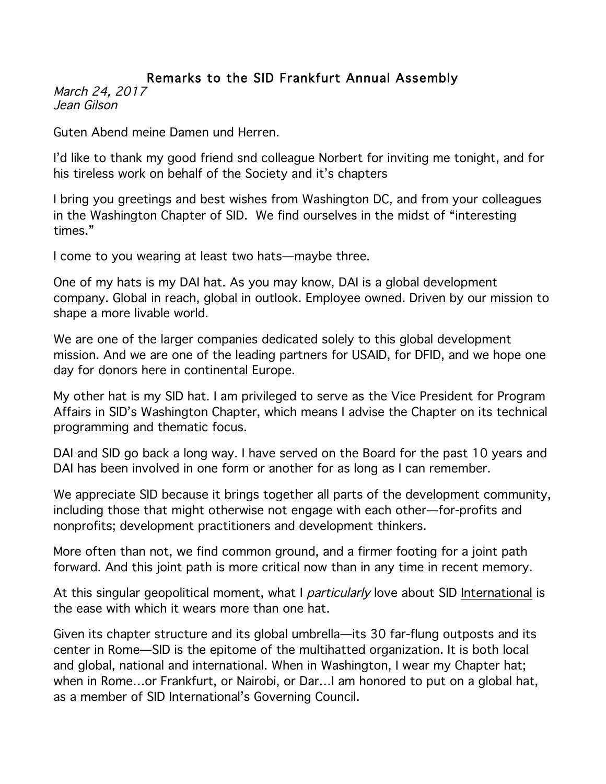## Remarks to the SID Frankfurt Annual Assembly

March 24, 2017 Jean Gilson

Guten Abend meine Damen und Herren.

I'd like to thank my good friend snd colleague Norbert for inviting me tonight, and for his tireless work on behalf of the Society and it's chapters

I bring you greetings and best wishes from Washington DC, and from your colleagues in the Washington Chapter of SID. We find ourselves in the midst of "interesting times."

I come to you wearing at least two hats—maybe three.

One of my hats is my DAI hat. As you may know, DAI is a global development company. Global in reach, global in outlook. Employee owned. Driven by our mission to shape a more livable world.

We are one of the larger companies dedicated solely to this global development mission. And we are one of the leading partners for USAID, for DFID, and we hope one day for donors here in continental Europe.

My other hat is my SID hat. I am privileged to serve as the Vice President for Program Affairs in SID's Washington Chapter, which means I advise the Chapter on its technical programming and thematic focus.

DAI and SID go back a long way. I have served on the Board for the past 10 years and DAI has been involved in one form or another for as long as I can remember.

We appreciate SID because it brings together all parts of the development community, including those that might otherwise not engage with each other—for-profits and nonprofits; development practitioners and development thinkers.

More often than not, we find common ground, and a firmer footing for a joint path forward. And this joint path is more critical now than in any time in recent memory.

At this singular geopolitical moment, what I particularly love about SID International is the ease with which it wears more than one hat.

Given its chapter structure and its global umbrella—its 30 far-flung outposts and its center in Rome—SID is the epitome of the multihatted organization. It is both local and global, national and international. When in Washington, I wear my Chapter hat; when in Rome…or Frankfurt, or Nairobi, or Dar…I am honored to put on a global hat, as a member of SID International's Governing Council.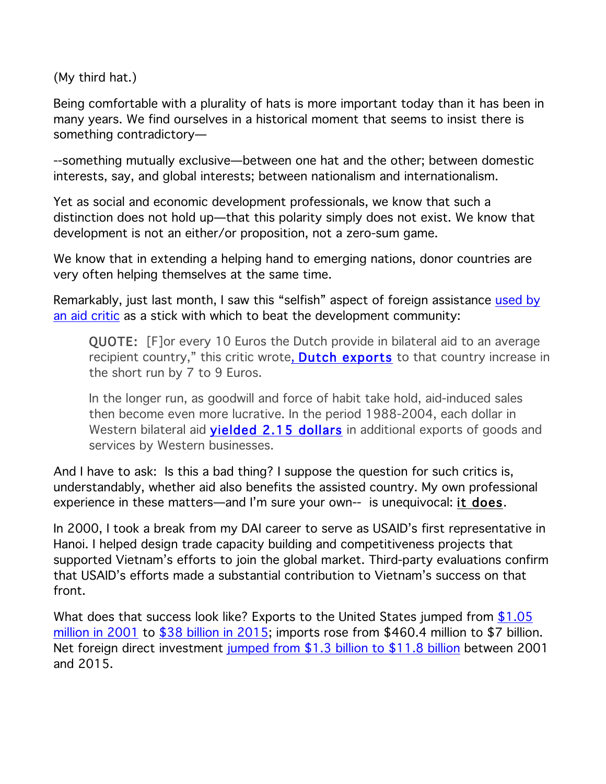(My third hat.)

Being comfortable with a plurality of hats is more important today than it has been in many years. We find ourselves in a historical moment that seems to insist there is something contradictory—

--something mutually exclusive—between one hat and the other; between domestic interests, say, and global interests; between nationalism and internationalism.

Yet as social and economic development professionals, we know that such a distinction does not hold up—that this polarity simply does not exist. We know that development is not an either/or proposition, not a zero-sum game.

We know that in extending a helping hand to emerging nations, donor countries are very often helping themselves at the same time.

Remarkably, just last month, I saw this "selfish" aspect of foreign assistance used by an aid critic as a stick with which to beat the development community:

QUOTE: [F]or every 10 Euros the Dutch provide in bilateral aid to an average recipient country," this critic wrote, **Dutch exports** to that country increase in the short run by 7 to 9 Euros.

In the longer run, as goodwill and force of habit take hold, aid-induced sales then become even more lucrative. In the period 1988-2004, each dollar in Western bilateral aid **yielded 2.15 dollars** in additional exports of goods and services by Western businesses.

And I have to ask: Is this a bad thing? I suppose the question for such critics is, understandably, whether aid also benefits the assisted country. My own professional experience in these matters—and I'm sure your own-- is unequivocal: it does.

In 2000, I took a break from my DAI career to serve as USAID's first representative in Hanoi. I helped design trade capacity building and competitiveness projects that supported Vietnam's efforts to join the global market. Third-party evaluations confirm that USAID's efforts made a substantial contribution to Vietnam's success on that front.

What does that success look like? Exports to the United States jumped from \$1.05 million in 2001 to \$38 billion in 2015; imports rose from \$460.4 million to \$7 billion. Net foreign direct investment jumped from \$1.3 billion to \$11.8 billion between 2001 and 2015.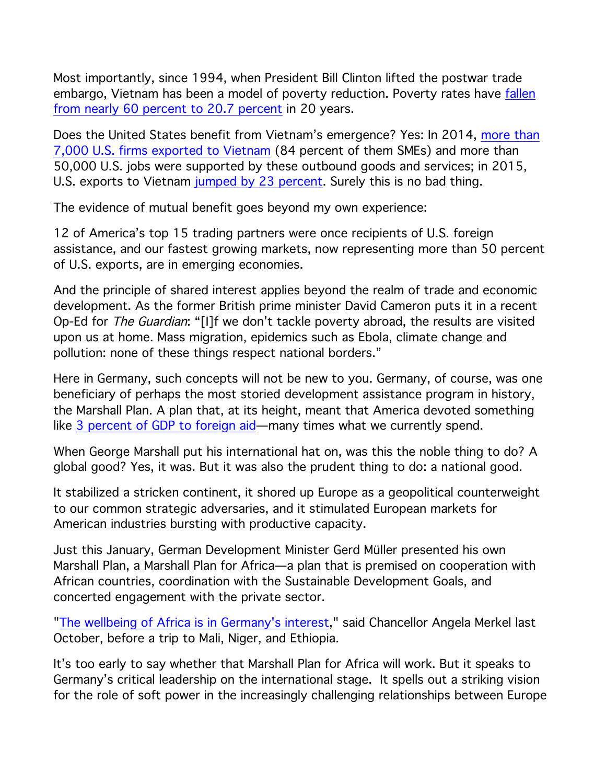Most importantly, since 1994, when President Bill Clinton lifted the postwar trade embargo, Vietnam has been a model of poverty reduction. Poverty rates have fallen from nearly 60 percent to 20.7 percent in 20 years.

Does the United States benefit from Vietnam's emergence? Yes: In 2014, more than 7,000 U.S. firms exported to Vietnam (84 percent of them SMEs) and more than 50,000 U.S. jobs were supported by these outbound goods and services; in 2015, U.S. exports to Vietnam jumped by 23 percent. Surely this is no bad thing.

The evidence of mutual benefit goes beyond my own experience:

12 of America's top 15 trading partners were once recipients of U.S. foreign assistance, and our fastest growing markets, now representing more than 50 percent of U.S. exports, are in emerging economies.

And the principle of shared interest applies beyond the realm of trade and economic development. As the former British prime minister David Cameron puts it in a recent Op-Ed for The Guardian: "[I]f we don't tackle poverty abroad, the results are visited upon us at home. Mass migration, epidemics such as Ebola, climate change and pollution: none of these things respect national borders."

Here in Germany, such concepts will not be new to you. Germany, of course, was one beneficiary of perhaps the most storied development assistance program in history, the Marshall Plan. A plan that, at its height, meant that America devoted something like 3 percent of GDP to foreign aid—many times what we currently spend.

When George Marshall put his international hat on, was this the noble thing to do? A global good? Yes, it was. But it was also the prudent thing to do: a national good.

It stabilized a stricken continent, it shored up Europe as a geopolitical counterweight to our common strategic adversaries, and it stimulated European markets for American industries bursting with productive capacity.

Just this January, German Development Minister Gerd Müller presented his own Marshall Plan, a Marshall Plan for Africa—a plan that is premised on cooperation with African countries, coordination with the Sustainable Development Goals, and concerted engagement with the private sector.

"The wellbeing of Africa is in Germany's interest," said Chancellor Angela Merkel last October, before a trip to Mali, Niger, and Ethiopia.

It's too early to say whether that Marshall Plan for Africa will work. But it speaks to Germany's critical leadership on the international stage. It spells out a striking vision for the role of soft power in the increasingly challenging relationships between Europe